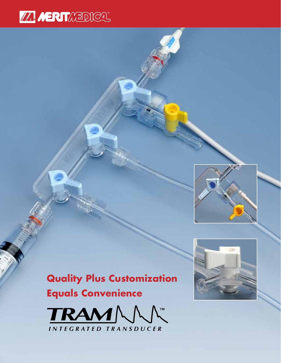





**Quality Plus Customization Equals Convenience**

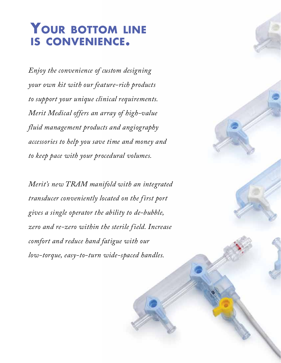## **Your bottom line is convenience.**

*Enjoy the convenience of custom designing your own kit with our feature-rich products to support your unique clinical requirements. Merit Medical offers an array of high-value fluid management products and angiography accessories to help you save time and money and to keep pace with your procedural volumes.*

*Merit's new TRAM manifold with an integrated transducer conveniently located on the f irst port gives a single operator the ability to de-bubble, zero and re-zero within the sterile f ield. Increase comfort and reduce hand fatigue with our low-torque, easy-to-turn wide-spaced handles.*

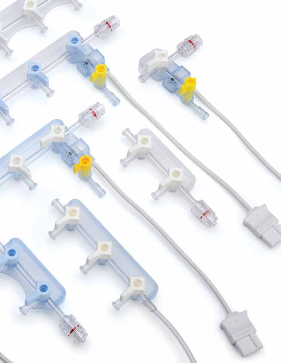